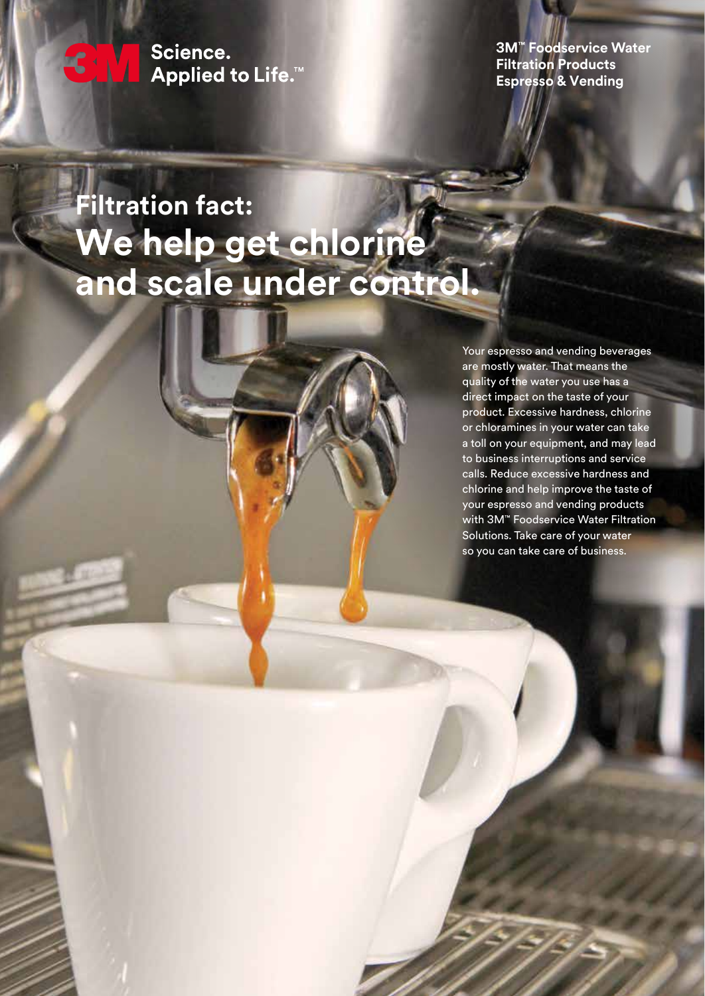Science. **Applied to Life.™** 

CHV.

**3M™ Foodservice Water Filtration Products Espresso & Vending** 

# **Filtration fact: We help get chlorine and scale under control.**

Your espresso and vending beverages are mostly water. That means the quality of the water you use has a direct impact on the taste of your product. Excessive hardness, chlorine or chloramines in your water can take a toll on your equipment, and may lead to business interruptions and service calls. Reduce excessive hardness and chlorine and help improve the taste of your espresso and vending products with 3M™ Foodservice Water Filtration Solutions. Take care of your water so you can take care of business.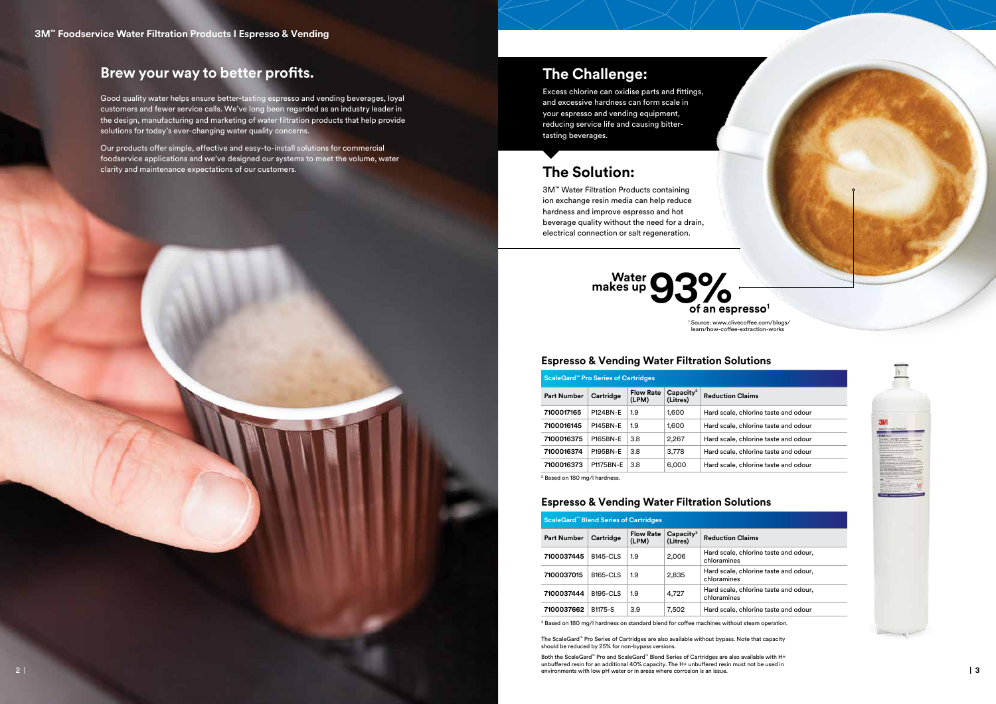| <b>ScaleGard™ Pro Series of Cartridges</b> |                  |                           |                         |                                      |  |  |  |
|--------------------------------------------|------------------|---------------------------|-------------------------|--------------------------------------|--|--|--|
| <b>Part Number</b>                         | Cartridge        | <b>Flow Rate</b><br>(LPM) | $Capacity2$<br>(Litres) | <b>Reduction Claims</b>              |  |  |  |
| 7100017165                                 | <b>P124BN-F</b>  | 1.9                       | 1,600                   | Hard scale, chlorine taste and odour |  |  |  |
| 7100016145                                 | <b>P145BN-F</b>  | 1.9                       | 1,600                   | Hard scale, chlorine taste and odour |  |  |  |
| 7100016375                                 | <b>P165BN-F</b>  | 3.8                       | 2,267                   | Hard scale, chlorine taste and odour |  |  |  |
| 7100016374                                 | <b>P195BN-F</b>  | 3.8                       | 3.778                   | Hard scale, chlorine taste and odour |  |  |  |
| 7100016373                                 | <b>P1175BN-F</b> | 3.8                       | 6,000                   | Hard scale, chlorine taste and odour |  |  |  |

| <b>ScaleGard™ Blend Series of Cartridges</b> |                    |                 |                           |                         |                                    |  |  |  |
|----------------------------------------------|--------------------|-----------------|---------------------------|-------------------------|------------------------------------|--|--|--|
|                                              | <b>Part Number</b> | Cartridge       | <b>Flow Rate</b><br>(LPM) | $Capacity3$<br>(Litres) | <b>Reduction Claims</b>            |  |  |  |
|                                              | 7100037445         | <b>B145-CLS</b> | 1.9                       | 2,006                   | Hard scale, chlorin<br>chloramines |  |  |  |
|                                              | 7100037015         | <b>B165-CLS</b> | 1.9                       | 2,835                   | Hard scale, chlorin<br>chloramines |  |  |  |
|                                              | 7100037444         | <b>B195-CLS</b> | 1.9                       | 4,727                   | Hard scale, chlorin<br>chloramines |  |  |  |
|                                              | 7100037662         | B1175-S         | 3.9                       | 7,502                   | Hard scale, chlorir                |  |  |  |

<sup>3</sup> Based on 180 mg/l hardness on standard blend for coffee machines without steam operation.

**7100037662** B1175-S 3.9 7,502 Hard scale, chlorine taste and odour



## **Espresso & Vending Water Filtration Solutions**

## **Espresso & Vending Water Filtration Solutions**

## **The Challenge:**

Excess chlorine can oxidise parts and fittings, and excessive hardness can form scale in your espresso and vending equipment, reducing service life and causing bittertasting beverages.

## **The Solution:**

3M™ Water Filtration Products containing ion exchange resin media can help reduce hardness and improve espresso and hot beverage quality without the need for a drain, electrical connection or salt regeneration.

**2 | | 3** environments with low pH water or in areas where corrosion is an issue.Both the ScaleGard™ Pro and ScaleGard™ Blend Series of Cartridges are also available with H+ unbuffered resin for an additional 40% capacity. The H+ unbuffered resin must not be used in

*<u>Brine</u>* taste and odour,

**prine taste and odour,** 

*<u>Brine taste and odour,</u>* 



## **Brew your way to better profits.**

Good quality water helps ensure better-tasting espresso and vending beverages, loyal customers and fewer service calls. We've long been regarded as an industry leader in the design, manufacturing and marketing of water filtration products that help provide solutions for today's ever-changing water quality concerns.

Our products offer simple, effective and easy-to-install solutions for commercial foodservice applications and we've designed our systems to meet the volume, water clarity and maintenance expectations of our customers.

2 Based on 180 mg/l hardness.

1 Source: www.clivecoffee.com/blogs/ learn/how-coffee-extraction-works

The ScaleGard™ Pro Series of Cartridges are also available without bypass. Note that capacity should be reduced by 25% for non-bypass versions.